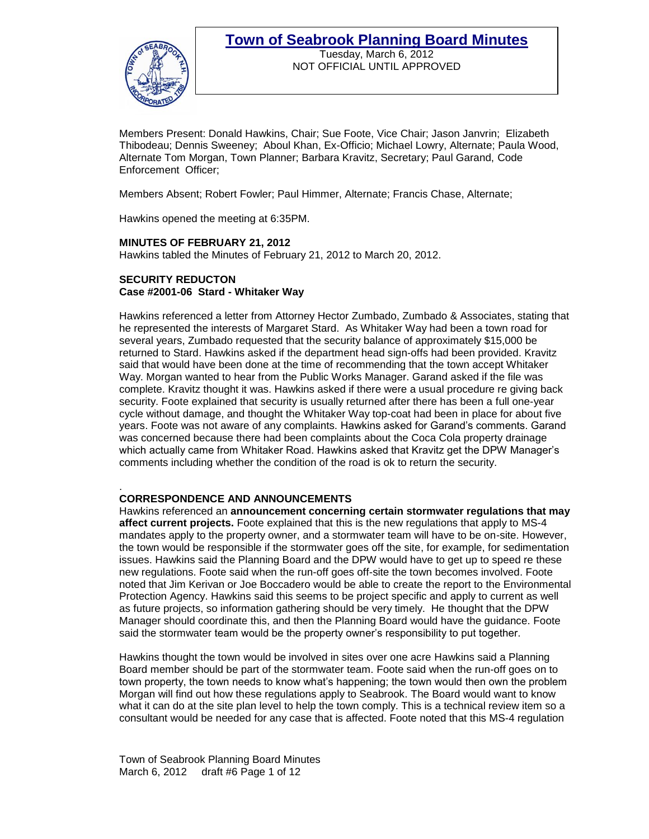

Tuesday, March 6, 2012 NOT OFFICIAL UNTIL APPROVED

Members Present: Donald Hawkins, Chair; Sue Foote, Vice Chair; Jason Janvrin; Elizabeth Thibodeau; Dennis Sweeney; Aboul Khan, Ex-Officio; Michael Lowry, Alternate; Paula Wood, Alternate Tom Morgan, Town Planner; Barbara Kravitz, Secretary; Paul Garand, Code Enforcement Officer;

Members Absent; Robert Fowler; Paul Himmer, Alternate; Francis Chase, Alternate;

Hawkins opened the meeting at 6:35PM.

### **MINUTES OF FEBRUARY 21, 2012**

Hawkins tabled the Minutes of February 21, 2012 to March 20, 2012.

#### **SECURITY REDUCTON Case #2001-06 Stard - Whitaker Way**

Hawkins referenced a letter from Attorney Hector Zumbado, Zumbado & Associates, stating that he represented the interests of Margaret Stard. As Whitaker Way had been a town road for several years, Zumbado requested that the security balance of approximately \$15,000 be returned to Stard. Hawkins asked if the department head sign-offs had been provided. Kravitz said that would have been done at the time of recommending that the town accept Whitaker Way. Morgan wanted to hear from the Public Works Manager. Garand asked if the file was complete. Kravitz thought it was. Hawkins asked if there were a usual procedure re giving back security. Foote explained that security is usually returned after there has been a full one-year cycle without damage, and thought the Whitaker Way top-coat had been in place for about five years. Foote was not aware of any complaints. Hawkins asked for Garand's comments. Garand was concerned because there had been complaints about the Coca Cola property drainage which actually came from Whitaker Road. Hawkins asked that Kravitz get the DPW Manager's comments including whether the condition of the road is ok to return the security.

#### . **CORRESPONDENCE AND ANNOUNCEMENTS**

Hawkins referenced an **announcement concerning certain stormwater regulations that may affect current projects.** Foote explained that this is the new regulations that apply to MS-4 mandates apply to the property owner, and a stormwater team will have to be on-site. However, the town would be responsible if the stormwater goes off the site, for example, for sedimentation issues. Hawkins said the Planning Board and the DPW would have to get up to speed re these new regulations. Foote said when the run-off goes off-site the town becomes involved. Foote noted that Jim Kerivan or Joe Boccadero would be able to create the report to the Environmental Protection Agency. Hawkins said this seems to be project specific and apply to current as well as future projects, so information gathering should be very timely. He thought that the DPW Manager should coordinate this, and then the Planning Board would have the guidance. Foote said the stormwater team would be the property owner's responsibility to put together.

Hawkins thought the town would be involved in sites over one acre Hawkins said a Planning Board member should be part of the stormwater team. Foote said when the run-off goes on to town property, the town needs to know what's happening; the town would then own the problem Morgan will find out how these regulations apply to Seabrook. The Board would want to know what it can do at the site plan level to help the town comply. This is a technical review item so a consultant would be needed for any case that is affected. Foote noted that this MS-4 regulation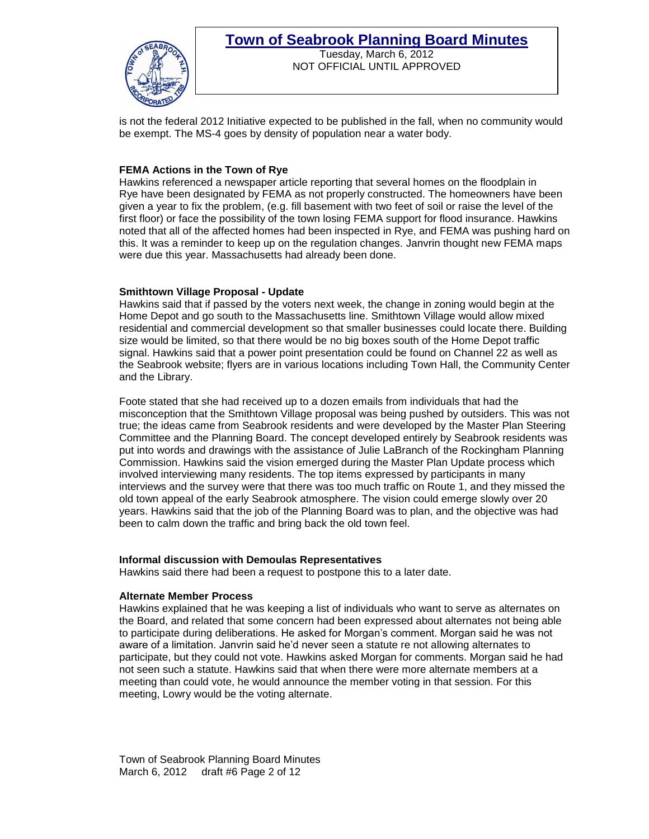

Tuesday, March 6, 2012 NOT OFFICIAL UNTIL APPROVED

is not the federal 2012 Initiative expected to be published in the fall, when no community would be exempt. The MS-4 goes by density of population near a water body.

### **FEMA Actions in the Town of Rye**

Hawkins referenced a newspaper article reporting that several homes on the floodplain in Rye have been designated by FEMA as not properly constructed. The homeowners have been given a year to fix the problem, (e.g. fill basement with two feet of soil or raise the level of the first floor) or face the possibility of the town losing FEMA support for flood insurance. Hawkins noted that all of the affected homes had been inspected in Rye, and FEMA was pushing hard on this. It was a reminder to keep up on the regulation changes. Janvrin thought new FEMA maps were due this year. Massachusetts had already been done.

### **Smithtown Village Proposal - Update**

Hawkins said that if passed by the voters next week, the change in zoning would begin at the Home Depot and go south to the Massachusetts line. Smithtown Village would allow mixed residential and commercial development so that smaller businesses could locate there. Building size would be limited, so that there would be no big boxes south of the Home Depot traffic signal. Hawkins said that a power point presentation could be found on Channel 22 as well as the Seabrook website; flyers are in various locations including Town Hall, the Community Center and the Library.

Foote stated that she had received up to a dozen emails from individuals that had the misconception that the Smithtown Village proposal was being pushed by outsiders. This was not true; the ideas came from Seabrook residents and were developed by the Master Plan Steering Committee and the Planning Board. The concept developed entirely by Seabrook residents was put into words and drawings with the assistance of Julie LaBranch of the Rockingham Planning Commission. Hawkins said the vision emerged during the Master Plan Update process which involved interviewing many residents. The top items expressed by participants in many interviews and the survey were that there was too much traffic on Route 1, and they missed the old town appeal of the early Seabrook atmosphere. The vision could emerge slowly over 20 years. Hawkins said that the job of the Planning Board was to plan, and the objective was had been to calm down the traffic and bring back the old town feel.

### **Informal discussion with Demoulas Representatives**

Hawkins said there had been a request to postpone this to a later date.

### **Alternate Member Process**

Hawkins explained that he was keeping a list of individuals who want to serve as alternates on the Board, and related that some concern had been expressed about alternates not being able to participate during deliberations. He asked for Morgan's comment. Morgan said he was not aware of a limitation. Janvrin said he'd never seen a statute re not allowing alternates to participate, but they could not vote. Hawkins asked Morgan for comments. Morgan said he had not seen such a statute. Hawkins said that when there were more alternate members at a meeting than could vote, he would announce the member voting in that session. For this meeting, Lowry would be the voting alternate.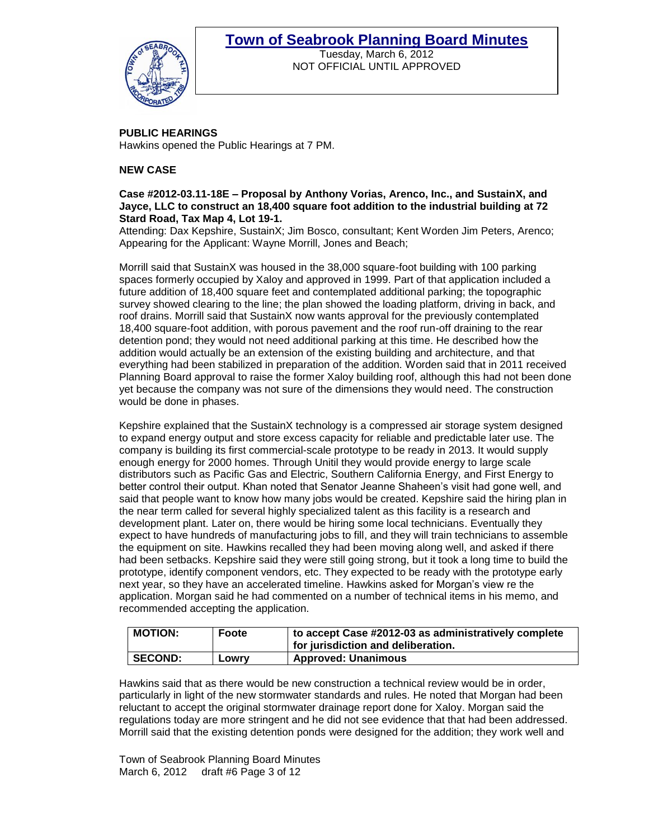

Tuesday, March 6, 2012 NOT OFFICIAL UNTIL APPROVED

**PUBLIC HEARINGS**  Hawkins opened the Public Hearings at 7 PM.

### **NEW CASE**

### **Case #2012-03.11-18E – Proposal by Anthony Vorias, Arenco, Inc., and SustainX, and Jayce, LLC to construct an 18,400 square foot addition to the industrial building at 72 Stard Road, Tax Map 4, Lot 19-1.**

Attending: Dax Kepshire, SustainX; Jim Bosco, consultant; Kent Worden Jim Peters, Arenco; Appearing for the Applicant: Wayne Morrill, Jones and Beach;

Morrill said that SustainX was housed in the 38,000 square-foot building with 100 parking spaces formerly occupied by Xaloy and approved in 1999. Part of that application included a future addition of 18,400 square feet and contemplated additional parking; the topographic survey showed clearing to the line; the plan showed the loading platform, driving in back, and roof drains. Morrill said that SustainX now wants approval for the previously contemplated 18,400 square-foot addition, with porous pavement and the roof run-off draining to the rear detention pond; they would not need additional parking at this time. He described how the addition would actually be an extension of the existing building and architecture, and that everything had been stabilized in preparation of the addition. Worden said that in 2011 received Planning Board approval to raise the former Xaloy building roof, although this had not been done yet because the company was not sure of the dimensions they would need. The construction would be done in phases.

Kepshire explained that the SustainX technology is a compressed air storage system designed to expand energy output and store excess capacity for reliable and predictable later use. The company is building its first commercial-scale prototype to be ready in 2013. It would supply enough energy for 2000 homes. Through Unitil they would provide energy to large scale distributors such as Pacific Gas and Electric, Southern California Energy, and First Energy to better control their output. Khan noted that Senator Jeanne Shaheen's visit had gone well, and said that people want to know how many jobs would be created. Kepshire said the hiring plan in the near term called for several highly specialized talent as this facility is a research and development plant. Later on, there would be hiring some local technicians. Eventually they expect to have hundreds of manufacturing jobs to fill, and they will train technicians to assemble the equipment on site. Hawkins recalled they had been moving along well, and asked if there had been setbacks. Kepshire said they were still going strong, but it took a long time to build the prototype, identify component vendors, etc. They expected to be ready with the prototype early next year, so they have an accelerated timeline. Hawkins asked for Morgan's view re the application. Morgan said he had commented on a number of technical items in his memo, and recommended accepting the application.

| <b>MOTION:</b> | Foote | to accept Case #2012-03 as administratively complete<br>for jurisdiction and deliberation. |
|----------------|-------|--------------------------------------------------------------------------------------------|
|                |       |                                                                                            |
| <b>SECOND:</b> | Lowry | <b>Approved: Unanimous</b>                                                                 |

Hawkins said that as there would be new construction a technical review would be in order, particularly in light of the new stormwater standards and rules. He noted that Morgan had been reluctant to accept the original stormwater drainage report done for Xaloy. Morgan said the regulations today are more stringent and he did not see evidence that that had been addressed. Morrill said that the existing detention ponds were designed for the addition; they work well and

Town of Seabrook Planning Board Minutes March 6, 2012 draft #6 Page 3 of 12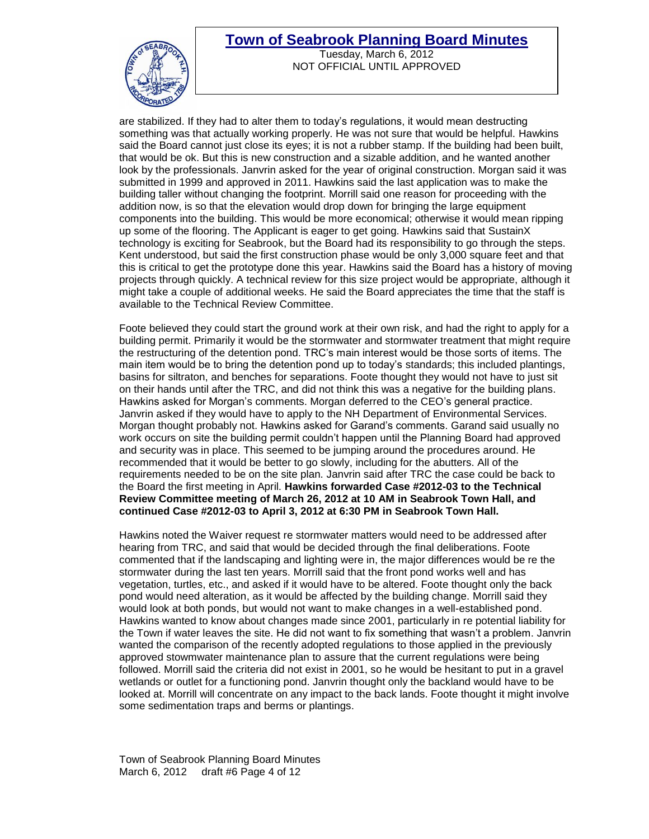

Tuesday, March 6, 2012 NOT OFFICIAL UNTIL APPROVED

are stabilized. If they had to alter them to today's regulations, it would mean destructing something was that actually working properly. He was not sure that would be helpful. Hawkins said the Board cannot just close its eyes; it is not a rubber stamp. If the building had been built, that would be ok. But this is new construction and a sizable addition, and he wanted another look by the professionals. Janvrin asked for the year of original construction. Morgan said it was submitted in 1999 and approved in 2011. Hawkins said the last application was to make the building taller without changing the footprint. Morrill said one reason for proceeding with the addition now, is so that the elevation would drop down for bringing the large equipment components into the building. This would be more economical; otherwise it would mean ripping up some of the flooring. The Applicant is eager to get going. Hawkins said that SustainX technology is exciting for Seabrook, but the Board had its responsibility to go through the steps. Kent understood, but said the first construction phase would be only 3,000 square feet and that this is critical to get the prototype done this year. Hawkins said the Board has a history of moving projects through quickly. A technical review for this size project would be appropriate, although it might take a couple of additional weeks. He said the Board appreciates the time that the staff is available to the Technical Review Committee.

Foote believed they could start the ground work at their own risk, and had the right to apply for a building permit. Primarily it would be the stormwater and stormwater treatment that might require the restructuring of the detention pond. TRC's main interest would be those sorts of items. The main item would be to bring the detention pond up to today's standards; this included plantings, basins for siltraton, and benches for separations. Foote thought they would not have to just sit on their hands until after the TRC, and did not think this was a negative for the building plans. Hawkins asked for Morgan's comments. Morgan deferred to the CEO's general practice. Janvrin asked if they would have to apply to the NH Department of Environmental Services. Morgan thought probably not. Hawkins asked for Garand's comments. Garand said usually no work occurs on site the building permit couldn't happen until the Planning Board had approved and security was in place. This seemed to be jumping around the procedures around. He recommended that it would be better to go slowly, including for the abutters. All of the requirements needed to be on the site plan. Janvrin said after TRC the case could be back to the Board the first meeting in April. **Hawkins forwarded Case #2012-03 to the Technical Review Committee meeting of March 26, 2012 at 10 AM in Seabrook Town Hall, and continued Case #2012-03 to April 3, 2012 at 6:30 PM in Seabrook Town Hall.** 

Hawkins noted the Waiver request re stormwater matters would need to be addressed after hearing from TRC, and said that would be decided through the final deliberations. Foote commented that if the landscaping and lighting were in, the major differences would be re the stormwater during the last ten years. Morrill said that the front pond works well and has vegetation, turtles, etc., and asked if it would have to be altered. Foote thought only the back pond would need alteration, as it would be affected by the building change. Morrill said they would look at both ponds, but would not want to make changes in a well-established pond. Hawkins wanted to know about changes made since 2001, particularly in re potential liability for the Town if water leaves the site. He did not want to fix something that wasn't a problem. Janvrin wanted the comparison of the recently adopted regulations to those applied in the previously approved stowmwater maintenance plan to assure that the current regulations were being followed. Morrill said the criteria did not exist in 2001, so he would be hesitant to put in a gravel wetlands or outlet for a functioning pond. Janvrin thought only the backland would have to be looked at. Morrill will concentrate on any impact to the back lands. Foote thought it might involve some sedimentation traps and berms or plantings.

Town of Seabrook Planning Board Minutes March 6, 2012 draft #6 Page 4 of 12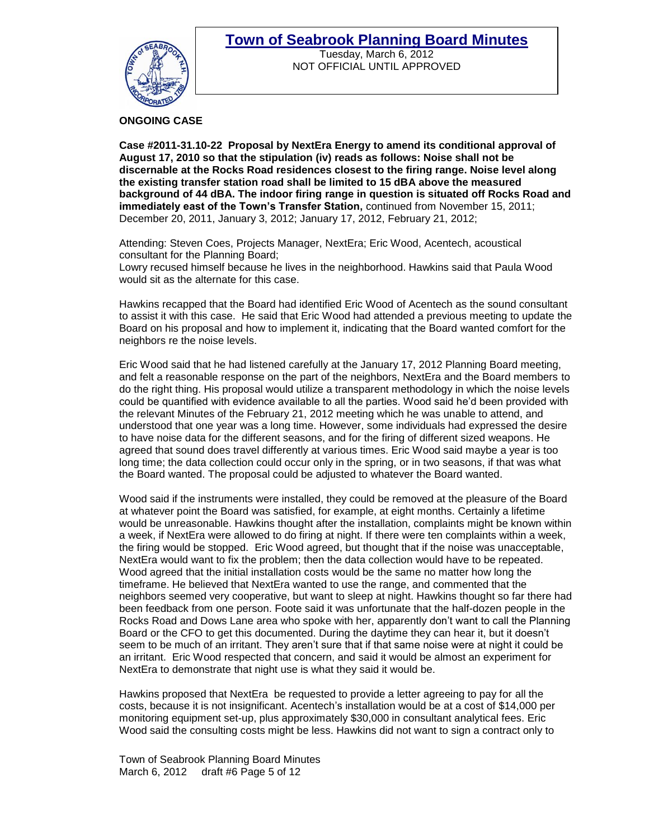

Tuesday, March 6, 2012 NOT OFFICIAL UNTIL APPROVED

### **ONGOING CASE**

**Case #2011-31.10-22 Proposal by NextEra Energy to amend its conditional approval of August 17, 2010 so that the stipulation (iv) reads as follows: Noise shall not be discernable at the Rocks Road residences closest to the firing range. Noise level along the existing transfer station road shall be limited to 15 dBA above the measured background of 44 dBA. The indoor firing range in question is situated off Rocks Road and immediately east of the Town's Transfer Station,** continued from November 15, 2011; December 20, 2011, January 3, 2012; January 17, 2012, February 21, 2012;

Attending: Steven Coes, Projects Manager, NextEra; Eric Wood, Acentech, acoustical consultant for the Planning Board; Lowry recused himself because he lives in the neighborhood. Hawkins said that Paula Wood

would sit as the alternate for this case.

Hawkins recapped that the Board had identified Eric Wood of Acentech as the sound consultant to assist it with this case. He said that Eric Wood had attended a previous meeting to update the Board on his proposal and how to implement it, indicating that the Board wanted comfort for the neighbors re the noise levels.

Eric Wood said that he had listened carefully at the January 17, 2012 Planning Board meeting, and felt a reasonable response on the part of the neighbors, NextEra and the Board members to do the right thing. His proposal would utilize a transparent methodology in which the noise levels could be quantified with evidence available to all the parties. Wood said he'd been provided with the relevant Minutes of the February 21, 2012 meeting which he was unable to attend, and understood that one year was a long time. However, some individuals had expressed the desire to have noise data for the different seasons, and for the firing of different sized weapons. He agreed that sound does travel differently at various times. Eric Wood said maybe a year is too long time; the data collection could occur only in the spring, or in two seasons, if that was what the Board wanted. The proposal could be adjusted to whatever the Board wanted.

Wood said if the instruments were installed, they could be removed at the pleasure of the Board at whatever point the Board was satisfied, for example, at eight months. Certainly a lifetime would be unreasonable. Hawkins thought after the installation, complaints might be known within a week, if NextEra were allowed to do firing at night. If there were ten complaints within a week, the firing would be stopped. Eric Wood agreed, but thought that if the noise was unacceptable, NextEra would want to fix the problem; then the data collection would have to be repeated. Wood agreed that the initial installation costs would be the same no matter how long the timeframe. He believed that NextEra wanted to use the range, and commented that the neighbors seemed very cooperative, but want to sleep at night. Hawkins thought so far there had been feedback from one person. Foote said it was unfortunate that the half-dozen people in the Rocks Road and Dows Lane area who spoke with her, apparently don't want to call the Planning Board or the CFO to get this documented. During the daytime they can hear it, but it doesn't seem to be much of an irritant. They aren't sure that if that same noise were at night it could be an irritant. Eric Wood respected that concern, and said it would be almost an experiment for NextEra to demonstrate that night use is what they said it would be.

Hawkins proposed that NextEra be requested to provide a letter agreeing to pay for all the costs, because it is not insignificant. Acentech's installation would be at a cost of \$14,000 per monitoring equipment set-up, plus approximately \$30,000 in consultant analytical fees. Eric Wood said the consulting costs might be less. Hawkins did not want to sign a contract only to

Town of Seabrook Planning Board Minutes March 6, 2012 draft #6 Page 5 of 12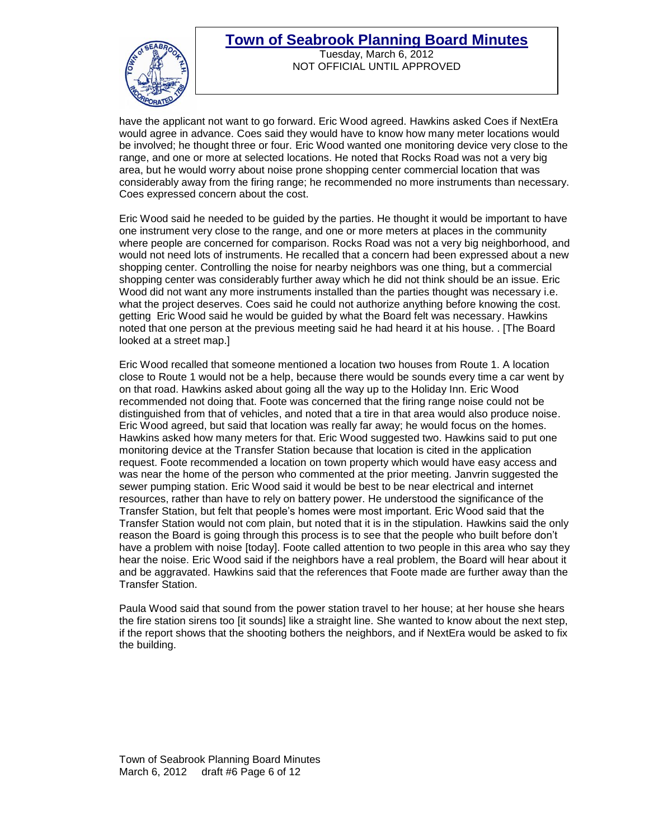

Tuesday, March 6, 2012 NOT OFFICIAL UNTIL APPROVED

have the applicant not want to go forward. Eric Wood agreed. Hawkins asked Coes if NextEra would agree in advance. Coes said they would have to know how many meter locations would be involved; he thought three or four. Eric Wood wanted one monitoring device very close to the range, and one or more at selected locations. He noted that Rocks Road was not a very big area, but he would worry about noise prone shopping center commercial location that was considerably away from the firing range; he recommended no more instruments than necessary. Coes expressed concern about the cost.

Eric Wood said he needed to be guided by the parties. He thought it would be important to have one instrument very close to the range, and one or more meters at places in the community where people are concerned for comparison. Rocks Road was not a very big neighborhood, and would not need lots of instruments. He recalled that a concern had been expressed about a new shopping center. Controlling the noise for nearby neighbors was one thing, but a commercial shopping center was considerably further away which he did not think should be an issue. Eric Wood did not want any more instruments installed than the parties thought was necessary i.e. what the project deserves. Coes said he could not authorize anything before knowing the cost. getting Eric Wood said he would be guided by what the Board felt was necessary. Hawkins noted that one person at the previous meeting said he had heard it at his house. . [The Board looked at a street map.]

Eric Wood recalled that someone mentioned a location two houses from Route 1. A location close to Route 1 would not be a help, because there would be sounds every time a car went by on that road. Hawkins asked about going all the way up to the Holiday Inn. Eric Wood recommended not doing that. Foote was concerned that the firing range noise could not be distinguished from that of vehicles, and noted that a tire in that area would also produce noise. Eric Wood agreed, but said that location was really far away; he would focus on the homes. Hawkins asked how many meters for that. Eric Wood suggested two. Hawkins said to put one monitoring device at the Transfer Station because that location is cited in the application request. Foote recommended a location on town property which would have easy access and was near the home of the person who commented at the prior meeting. Janvrin suggested the sewer pumping station. Eric Wood said it would be best to be near electrical and internet resources, rather than have to rely on battery power. He understood the significance of the Transfer Station, but felt that people's homes were most important. Eric Wood said that the Transfer Station would not com plain, but noted that it is in the stipulation. Hawkins said the only reason the Board is going through this process is to see that the people who built before don't have a problem with noise [today]. Foote called attention to two people in this area who say they hear the noise. Eric Wood said if the neighbors have a real problem, the Board will hear about it and be aggravated. Hawkins said that the references that Foote made are further away than the Transfer Station.

Paula Wood said that sound from the power station travel to her house; at her house she hears the fire station sirens too [it sounds] like a straight line. She wanted to know about the next step, if the report shows that the shooting bothers the neighbors, and if NextEra would be asked to fix the building.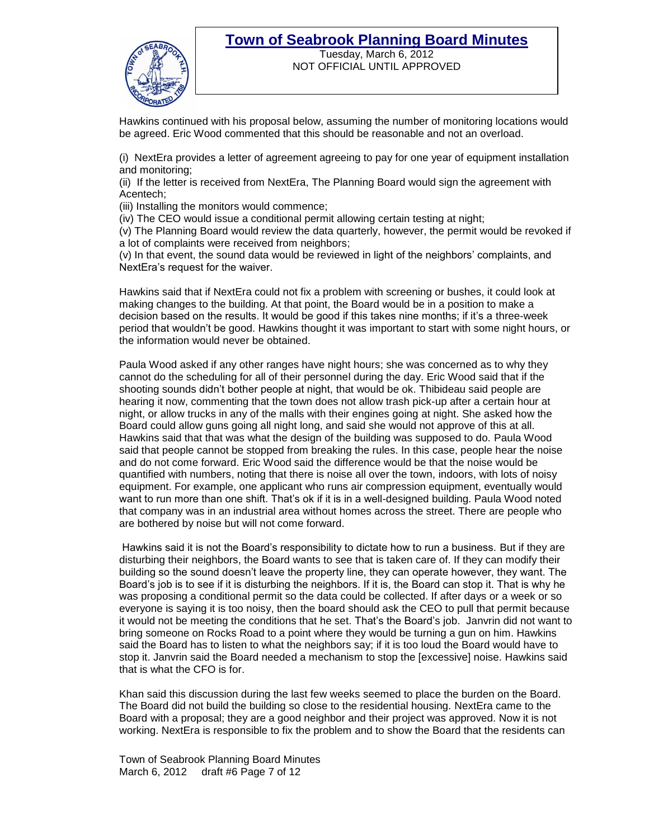

Tuesday, March 6, 2012 NOT OFFICIAL UNTIL APPROVED

Hawkins continued with his proposal below, assuming the number of monitoring locations would be agreed. Eric Wood commented that this should be reasonable and not an overload.

(i) NextEra provides a letter of agreement agreeing to pay for one year of equipment installation and monitoring;

(ii) If the letter is received from NextEra, The Planning Board would sign the agreement with Acentech;

(iii) Installing the monitors would commence;

(iv) The CEO would issue a conditional permit allowing certain testing at night;

(v) The Planning Board would review the data quarterly, however, the permit would be revoked if a lot of complaints were received from neighbors;

(v) In that event, the sound data would be reviewed in light of the neighbors' complaints, and NextEra's request for the waiver.

Hawkins said that if NextEra could not fix a problem with screening or bushes, it could look at making changes to the building. At that point, the Board would be in a position to make a decision based on the results. It would be good if this takes nine months; if it's a three-week period that wouldn't be good. Hawkins thought it was important to start with some night hours, or the information would never be obtained.

Paula Wood asked if any other ranges have night hours; she was concerned as to why they cannot do the scheduling for all of their personnel during the day. Eric Wood said that if the shooting sounds didn't bother people at night, that would be ok. Thibideau said people are hearing it now, commenting that the town does not allow trash pick-up after a certain hour at night, or allow trucks in any of the malls with their engines going at night. She asked how the Board could allow guns going all night long, and said she would not approve of this at all. Hawkins said that that was what the design of the building was supposed to do. Paula Wood said that people cannot be stopped from breaking the rules. In this case, people hear the noise and do not come forward. Eric Wood said the difference would be that the noise would be quantified with numbers, noting that there is noise all over the town, indoors, with lots of noisy equipment. For example, one applicant who runs air compression equipment, eventually would want to run more than one shift. That's ok if it is in a well-designed building. Paula Wood noted that company was in an industrial area without homes across the street. There are people who are bothered by noise but will not come forward.

Hawkins said it is not the Board's responsibility to dictate how to run a business. But if they are disturbing their neighbors, the Board wants to see that is taken care of. If they can modify their building so the sound doesn't leave the property line, they can operate however, they want. The Board's job is to see if it is disturbing the neighbors. If it is, the Board can stop it. That is why he was proposing a conditional permit so the data could be collected. If after days or a week or so everyone is saying it is too noisy, then the board should ask the CEO to pull that permit because it would not be meeting the conditions that he set. That's the Board's job. Janvrin did not want to bring someone on Rocks Road to a point where they would be turning a gun on him. Hawkins said the Board has to listen to what the neighbors say; if it is too loud the Board would have to stop it. Janvrin said the Board needed a mechanism to stop the [excessive] noise. Hawkins said that is what the CFO is for.

Khan said this discussion during the last few weeks seemed to place the burden on the Board. The Board did not build the building so close to the residential housing. NextEra came to the Board with a proposal; they are a good neighbor and their project was approved. Now it is not working. NextEra is responsible to fix the problem and to show the Board that the residents can

Town of Seabrook Planning Board Minutes March 6, 2012 draft #6 Page 7 of 12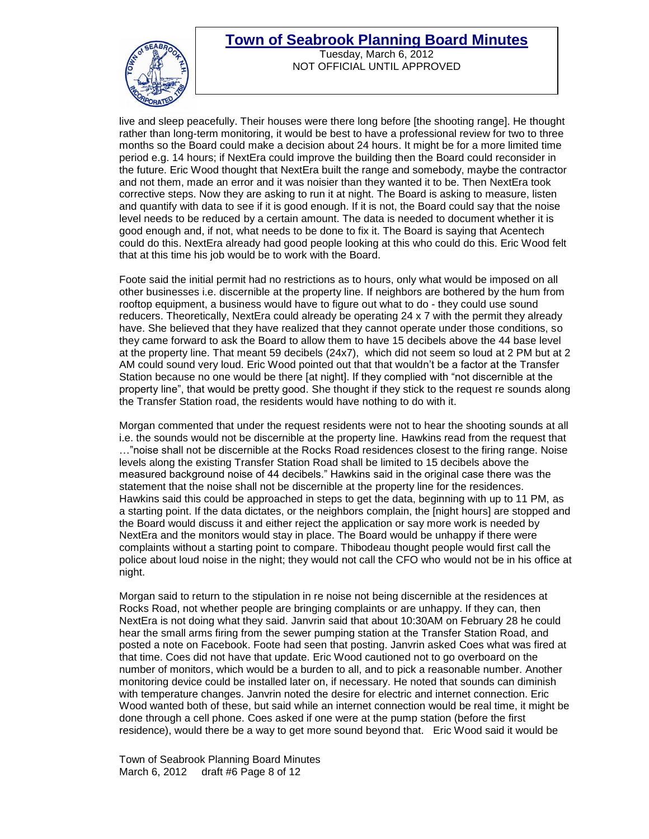

Tuesday, March 6, 2012 NOT OFFICIAL UNTIL APPROVED

live and sleep peacefully. Their houses were there long before [the shooting range]. He thought rather than long-term monitoring, it would be best to have a professional review for two to three months so the Board could make a decision about 24 hours. It might be for a more limited time period e.g. 14 hours; if NextEra could improve the building then the Board could reconsider in the future. Eric Wood thought that NextEra built the range and somebody, maybe the contractor and not them, made an error and it was noisier than they wanted it to be. Then NextEra took corrective steps. Now they are asking to run it at night. The Board is asking to measure, listen and quantify with data to see if it is good enough. If it is not, the Board could say that the noise level needs to be reduced by a certain amount. The data is needed to document whether it is good enough and, if not, what needs to be done to fix it. The Board is saying that Acentech could do this. NextEra already had good people looking at this who could do this. Eric Wood felt that at this time his job would be to work with the Board.

Foote said the initial permit had no restrictions as to hours, only what would be imposed on all other businesses i.e. discernible at the property line. If neighbors are bothered by the hum from rooftop equipment, a business would have to figure out what to do - they could use sound reducers. Theoretically, NextEra could already be operating 24 x 7 with the permit they already have. She believed that they have realized that they cannot operate under those conditions, so they came forward to ask the Board to allow them to have 15 decibels above the 44 base level at the property line. That meant 59 decibels (24x7), which did not seem so loud at 2 PM but at 2 AM could sound very loud. Eric Wood pointed out that that wouldn't be a factor at the Transfer Station because no one would be there [at night]. If they complied with "not discernible at the property line", that would be pretty good. She thought if they stick to the request re sounds along the Transfer Station road, the residents would have nothing to do with it.

Morgan commented that under the request residents were not to hear the shooting sounds at all i.e. the sounds would not be discernible at the property line. Hawkins read from the request that …"noise shall not be discernible at the Rocks Road residences closest to the firing range. Noise levels along the existing Transfer Station Road shall be limited to 15 decibels above the measured background noise of 44 decibels." Hawkins said in the original case there was the statement that the noise shall not be discernible at the property line for the residences. Hawkins said this could be approached in steps to get the data, beginning with up to 11 PM, as a starting point. If the data dictates, or the neighbors complain, the [night hours] are stopped and the Board would discuss it and either reject the application or say more work is needed by NextEra and the monitors would stay in place. The Board would be unhappy if there were complaints without a starting point to compare. Thibodeau thought people would first call the police about loud noise in the night; they would not call the CFO who would not be in his office at night.

Morgan said to return to the stipulation in re noise not being discernible at the residences at Rocks Road, not whether people are bringing complaints or are unhappy. If they can, then NextEra is not doing what they said. Janvrin said that about 10:30AM on February 28 he could hear the small arms firing from the sewer pumping station at the Transfer Station Road, and posted a note on Facebook. Foote had seen that posting. Janvrin asked Coes what was fired at that time. Coes did not have that update. Eric Wood cautioned not to go overboard on the number of monitors, which would be a burden to all, and to pick a reasonable number. Another monitoring device could be installed later on, if necessary. He noted that sounds can diminish with temperature changes. Janvrin noted the desire for electric and internet connection. Eric Wood wanted both of these, but said while an internet connection would be real time, it might be done through a cell phone. Coes asked if one were at the pump station (before the first residence), would there be a way to get more sound beyond that. Eric Wood said it would be

Town of Seabrook Planning Board Minutes March 6, 2012 draft #6 Page 8 of 12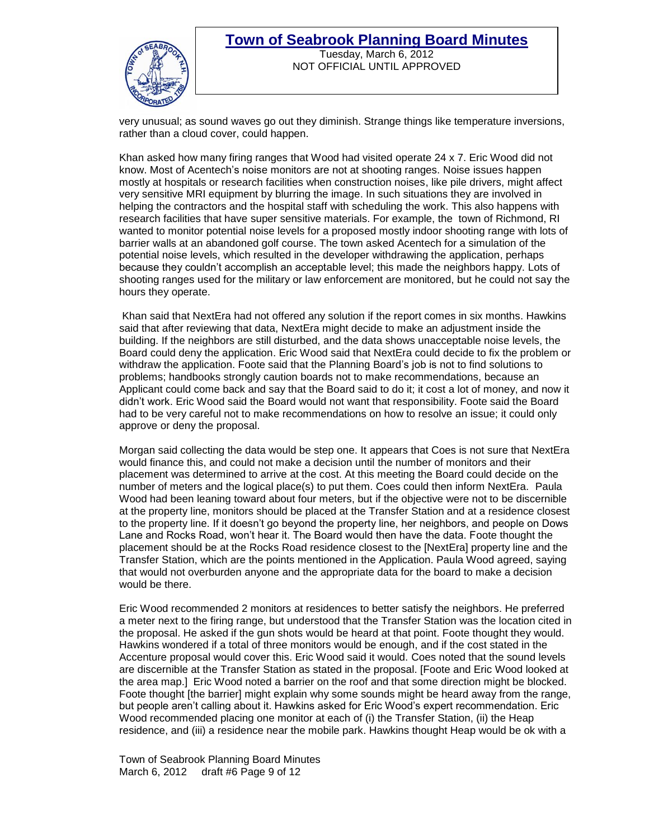

### **Town of Seabrook Planning Board Minutes** Tuesday, March 6, 2012

NOT OFFICIAL UNTIL APPROVED

very unusual; as sound waves go out they diminish. Strange things like temperature inversions, rather than a cloud cover, could happen.

Khan asked how many firing ranges that Wood had visited operate 24 x 7. Eric Wood did not know. Most of Acentech's noise monitors are not at shooting ranges. Noise issues happen mostly at hospitals or research facilities when construction noises, like pile drivers, might affect very sensitive MRI equipment by blurring the image. In such situations they are involved in helping the contractors and the hospital staff with scheduling the work. This also happens with research facilities that have super sensitive materials. For example, the town of Richmond, RI wanted to monitor potential noise levels for a proposed mostly indoor shooting range with lots of barrier walls at an abandoned golf course. The town asked Acentech for a simulation of the potential noise levels, which resulted in the developer withdrawing the application, perhaps because they couldn't accomplish an acceptable level; this made the neighbors happy. Lots of shooting ranges used for the military or law enforcement are monitored, but he could not say the hours they operate.

Khan said that NextEra had not offered any solution if the report comes in six months. Hawkins said that after reviewing that data, NextEra might decide to make an adjustment inside the building. If the neighbors are still disturbed, and the data shows unacceptable noise levels, the Board could deny the application. Eric Wood said that NextEra could decide to fix the problem or withdraw the application. Foote said that the Planning Board's job is not to find solutions to problems; handbooks strongly caution boards not to make recommendations, because an Applicant could come back and say that the Board said to do it; it cost a lot of money, and now it didn't work. Eric Wood said the Board would not want that responsibility. Foote said the Board had to be very careful not to make recommendations on how to resolve an issue; it could only approve or deny the proposal.

Morgan said collecting the data would be step one. It appears that Coes is not sure that NextEra would finance this, and could not make a decision until the number of monitors and their placement was determined to arrive at the cost. At this meeting the Board could decide on the number of meters and the logical place(s) to put them. Coes could then inform NextEra. Paula Wood had been leaning toward about four meters, but if the objective were not to be discernible at the property line, monitors should be placed at the Transfer Station and at a residence closest to the property line. If it doesn't go beyond the property line, her neighbors, and people on Dows Lane and Rocks Road, won't hear it. The Board would then have the data. Foote thought the placement should be at the Rocks Road residence closest to the [NextEra] property line and the Transfer Station, which are the points mentioned in the Application. Paula Wood agreed, saying that would not overburden anyone and the appropriate data for the board to make a decision would be there.

Eric Wood recommended 2 monitors at residences to better satisfy the neighbors. He preferred a meter next to the firing range, but understood that the Transfer Station was the location cited in the proposal. He asked if the gun shots would be heard at that point. Foote thought they would. Hawkins wondered if a total of three monitors would be enough, and if the cost stated in the Accenture proposal would cover this. Eric Wood said it would. Coes noted that the sound levels are discernible at the Transfer Station as stated in the proposal. [Foote and Eric Wood looked at the area map.] Eric Wood noted a barrier on the roof and that some direction might be blocked. Foote thought [the barrier] might explain why some sounds might be heard away from the range, but people aren't calling about it. Hawkins asked for Eric Wood's expert recommendation. Eric Wood recommended placing one monitor at each of (i) the Transfer Station, (ii) the Heap residence, and (iii) a residence near the mobile park. Hawkins thought Heap would be ok with a

Town of Seabrook Planning Board Minutes March 6, 2012 draft #6 Page 9 of 12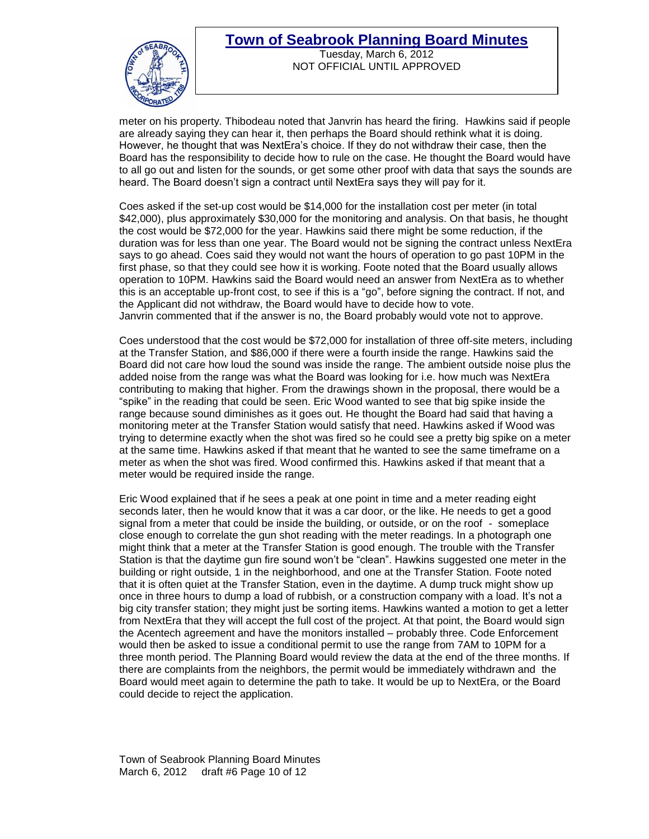

Tuesday, March 6, 2012 NOT OFFICIAL UNTIL APPROVED

meter on his property. Thibodeau noted that Janvrin has heard the firing. Hawkins said if people are already saying they can hear it, then perhaps the Board should rethink what it is doing. However, he thought that was NextEra's choice. If they do not withdraw their case, then the Board has the responsibility to decide how to rule on the case. He thought the Board would have to all go out and listen for the sounds, or get some other proof with data that says the sounds are heard. The Board doesn't sign a contract until NextEra says they will pay for it.

Coes asked if the set-up cost would be \$14,000 for the installation cost per meter (in total \$42,000), plus approximately \$30,000 for the monitoring and analysis. On that basis, he thought the cost would be \$72,000 for the year. Hawkins said there might be some reduction, if the duration was for less than one year. The Board would not be signing the contract unless NextEra says to go ahead. Coes said they would not want the hours of operation to go past 10PM in the first phase, so that they could see how it is working. Foote noted that the Board usually allows operation to 10PM. Hawkins said the Board would need an answer from NextEra as to whether this is an acceptable up-front cost, to see if this is a "go", before signing the contract. If not, and the Applicant did not withdraw, the Board would have to decide how to vote. Janvrin commented that if the answer is no, the Board probably would vote not to approve.

Coes understood that the cost would be \$72,000 for installation of three off-site meters, including at the Transfer Station, and \$86,000 if there were a fourth inside the range. Hawkins said the Board did not care how loud the sound was inside the range. The ambient outside noise plus the added noise from the range was what the Board was looking for i.e. how much was NextEra contributing to making that higher. From the drawings shown in the proposal, there would be a "spike" in the reading that could be seen. Eric Wood wanted to see that big spike inside the range because sound diminishes as it goes out. He thought the Board had said that having a monitoring meter at the Transfer Station would satisfy that need. Hawkins asked if Wood was trying to determine exactly when the shot was fired so he could see a pretty big spike on a meter at the same time. Hawkins asked if that meant that he wanted to see the same timeframe on a meter as when the shot was fired. Wood confirmed this. Hawkins asked if that meant that a meter would be required inside the range.

Eric Wood explained that if he sees a peak at one point in time and a meter reading eight seconds later, then he would know that it was a car door, or the like. He needs to get a good signal from a meter that could be inside the building, or outside, or on the roof - someplace close enough to correlate the gun shot reading with the meter readings. In a photograph one might think that a meter at the Transfer Station is good enough. The trouble with the Transfer Station is that the daytime gun fire sound won't be "clean". Hawkins suggested one meter in the building or right outside, 1 in the neighborhood, and one at the Transfer Station. Foote noted that it is often quiet at the Transfer Station, even in the daytime. A dump truck might show up once in three hours to dump a load of rubbish, or a construction company with a load. It's not a big city transfer station; they might just be sorting items. Hawkins wanted a motion to get a letter from NextEra that they will accept the full cost of the project. At that point, the Board would sign the Acentech agreement and have the monitors installed – probably three. Code Enforcement would then be asked to issue a conditional permit to use the range from 7AM to 10PM for a three month period. The Planning Board would review the data at the end of the three months. If there are complaints from the neighbors, the permit would be immediately withdrawn and the Board would meet again to determine the path to take. It would be up to NextEra, or the Board could decide to reject the application.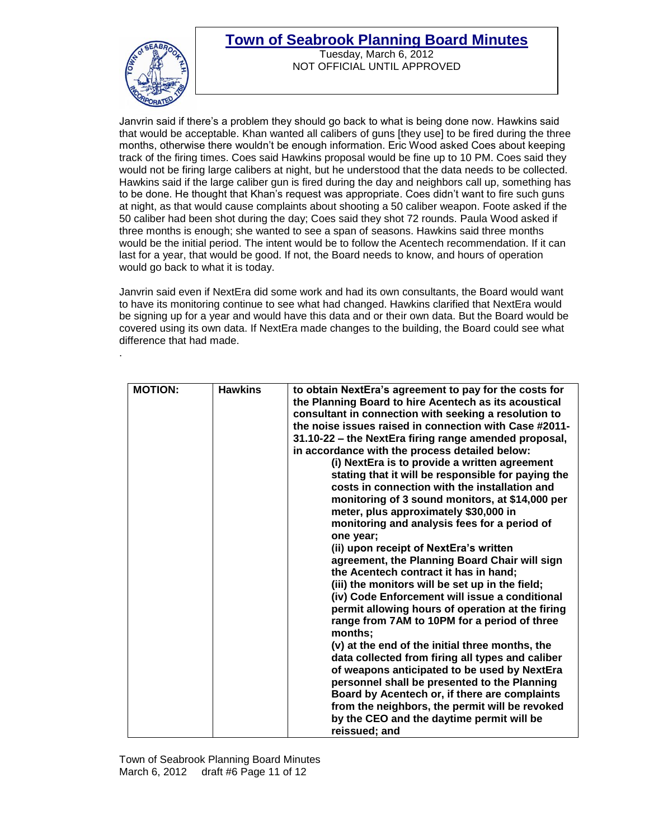

.

Tuesday, March 6, 2012 NOT OFFICIAL UNTIL APPROVED

Janvrin said if there's a problem they should go back to what is being done now. Hawkins said that would be acceptable. Khan wanted all calibers of guns [they use] to be fired during the three months, otherwise there wouldn't be enough information. Eric Wood asked Coes about keeping track of the firing times. Coes said Hawkins proposal would be fine up to 10 PM. Coes said they would not be firing large calibers at night, but he understood that the data needs to be collected. Hawkins said if the large caliber gun is fired during the day and neighbors call up, something has to be done. He thought that Khan's request was appropriate. Coes didn't want to fire such guns at night, as that would cause complaints about shooting a 50 caliber weapon. Foote asked if the 50 caliber had been shot during the day; Coes said they shot 72 rounds. Paula Wood asked if three months is enough; she wanted to see a span of seasons. Hawkins said three months would be the initial period. The intent would be to follow the Acentech recommendation. If it can last for a year, that would be good. If not, the Board needs to know, and hours of operation would go back to what it is today.

Janvrin said even if NextEra did some work and had its own consultants, the Board would want to have its monitoring continue to see what had changed. Hawkins clarified that NextEra would be signing up for a year and would have this data and or their own data. But the Board would be covered using its own data. If NextEra made changes to the building, the Board could see what difference that had made.

| <b>MOTION:</b><br><b>Hawkins</b><br>to obtain NextEra's agreement to pay for the costs for<br>the Planning Board to hire Acentech as its acoustical<br>consultant in connection with seeking a resolution to<br>the noise issues raised in connection with Case #2011-<br>31.10-22 - the NextEra firing range amended proposal,<br>in accordance with the process detailed below:<br>(i) NextEra is to provide a written agreement<br>stating that it will be responsible for paying the<br>costs in connection with the installation and<br>monitoring of 3 sound monitors, at \$14,000 per<br>meter, plus approximately \$30,000 in<br>monitoring and analysis fees for a period of<br>one year;<br>(ii) upon receipt of NextEra's written<br>agreement, the Planning Board Chair will sign<br>the Acentech contract it has in hand;<br>(iii) the monitors will be set up in the field;<br>(iv) Code Enforcement will issue a conditional<br>permit allowing hours of operation at the firing<br>range from 7AM to 10PM for a period of three<br>months:<br>(v) at the end of the initial three months, the<br>data collected from firing all types and caliber<br>of weapons anticipated to be used by NextEra |
|-------------------------------------------------------------------------------------------------------------------------------------------------------------------------------------------------------------------------------------------------------------------------------------------------------------------------------------------------------------------------------------------------------------------------------------------------------------------------------------------------------------------------------------------------------------------------------------------------------------------------------------------------------------------------------------------------------------------------------------------------------------------------------------------------------------------------------------------------------------------------------------------------------------------------------------------------------------------------------------------------------------------------------------------------------------------------------------------------------------------------------------------------------------------------------------------------------------------|
| personnel shall be presented to the Planning<br>Board by Acentech or, if there are complaints<br>from the neighbors, the permit will be revoked<br>by the CEO and the daytime permit will be<br>reissued; and                                                                                                                                                                                                                                                                                                                                                                                                                                                                                                                                                                                                                                                                                                                                                                                                                                                                                                                                                                                                     |